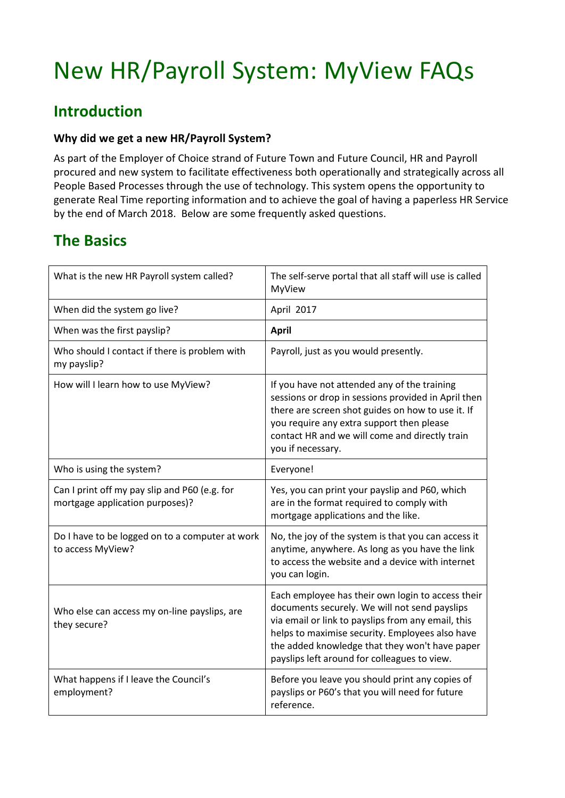# New HR/Payroll System: MyView FAQs

# **Introduction**

## **Why did we get a new HR/Payroll System?**

 As part of the Employer of Choice strand of Future Town and Future Council, HR and Payroll procured and new system to facilitate effectiveness both operationally and strategically across all People Based Processes through the use of technology. This system opens the opportunity to generate Real Time reporting information and to achieve the goal of having a paperless HR Service by the end of March 2018. Below are some frequently asked questions.

# **The Basics**

| What is the new HR Payroll system called?                                        | The self-serve portal that all staff will use is called<br>MyView                                                                                                                                                                                                                                             |
|----------------------------------------------------------------------------------|---------------------------------------------------------------------------------------------------------------------------------------------------------------------------------------------------------------------------------------------------------------------------------------------------------------|
| When did the system go live?                                                     | April 2017                                                                                                                                                                                                                                                                                                    |
| When was the first payslip?                                                      | <b>April</b>                                                                                                                                                                                                                                                                                                  |
| Who should I contact if there is problem with<br>my payslip?                     | Payroll, just as you would presently.                                                                                                                                                                                                                                                                         |
| How will I learn how to use MyView?                                              | If you have not attended any of the training<br>sessions or drop in sessions provided in April then<br>there are screen shot guides on how to use it. If<br>you require any extra support then please<br>contact HR and we will come and directly train<br>you if necessary.                                  |
| Who is using the system?                                                         | Everyone!                                                                                                                                                                                                                                                                                                     |
| Can I print off my pay slip and P60 (e.g. for<br>mortgage application purposes)? | Yes, you can print your payslip and P60, which<br>are in the format required to comply with<br>mortgage applications and the like.                                                                                                                                                                            |
| Do I have to be logged on to a computer at work<br>to access MyView?             | No, the joy of the system is that you can access it<br>anytime, anywhere. As long as you have the link<br>to access the website and a device with internet<br>you can login.                                                                                                                                  |
| Who else can access my on-line payslips, are<br>they secure?                     | Each employee has their own login to access their<br>documents securely. We will not send payslips<br>via email or link to payslips from any email, this<br>helps to maximise security. Employees also have<br>the added knowledge that they won't have paper<br>payslips left around for colleagues to view. |
| What happens if I leave the Council's<br>employment?                             | Before you leave you should print any copies of<br>payslips or P60's that you will need for future<br>reference.                                                                                                                                                                                              |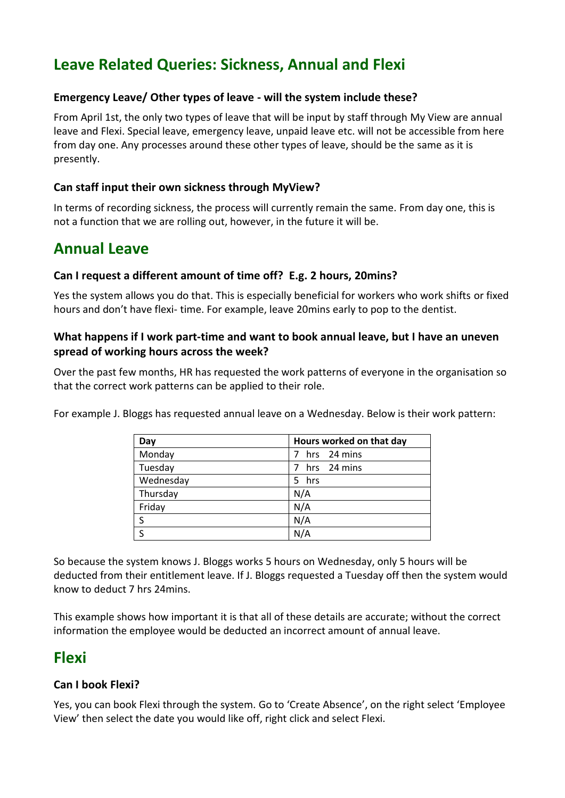# **Leave Related Queries: Sickness, Annual and Flexi**

## **Emergency Leave/ Other types of leave - will the system include these?**

 From April 1st, the only two types of leave that will be input by staff through My View are annual leave and Flexi. Special leave, emergency leave, unpaid leave etc. will not be accessible from here from day one. Any processes around these other types of leave, should be the same as it is presently.

## **Can staff input their own sickness through MyView?**

 In terms of recording sickness, the process will currently remain the same. From day one, this is not a function that we are rolling out, however, in the future it will be.

## **Annual Leave**

## **Can I request a different amount of time off? E.g. 2 hours, 20mins?**

 Yes the system allows you do that. This is especially beneficial for workers who work shifts or fixed hours and don't have flexi- time. For example, leave 20mins early to pop to the dentist.

## **What happens if I work part-time and want to book annual leave, but I have an uneven spread of working hours across the week?**

 Over the past few months, HR has requested the work patterns of everyone in the organisation so that the correct work patterns can be applied to their role.

For example J. Bloggs has requested annual leave on a Wednesday. Below is their work pattern:

| Day       | Hours worked on that day |
|-----------|--------------------------|
| Monday    | 7 hrs 24 mins            |
| Tuesday   | 7 hrs 24 mins            |
| Wednesday | 5 hrs                    |
| Thursday  | N/A                      |
| Friday    | N/A                      |
| S         | N/A                      |
|           | N/A                      |

 So because the system knows J. Bloggs works 5 hours on Wednesday, only 5 hours will be deducted from their entitlement leave. If J. Bloggs requested a Tuesday off then the system would know to deduct 7 hrs 24mins.

 This example shows how important it is that all of these details are accurate; without the correct information the employee would be deducted an incorrect amount of annual leave.

## **Flexi**

## **Can I book Flexi?**

 Yes, you can book Flexi through the system. Go to 'Create Absence', on the right select 'Employee View' then select the date you would like off, right click and select Flexi.